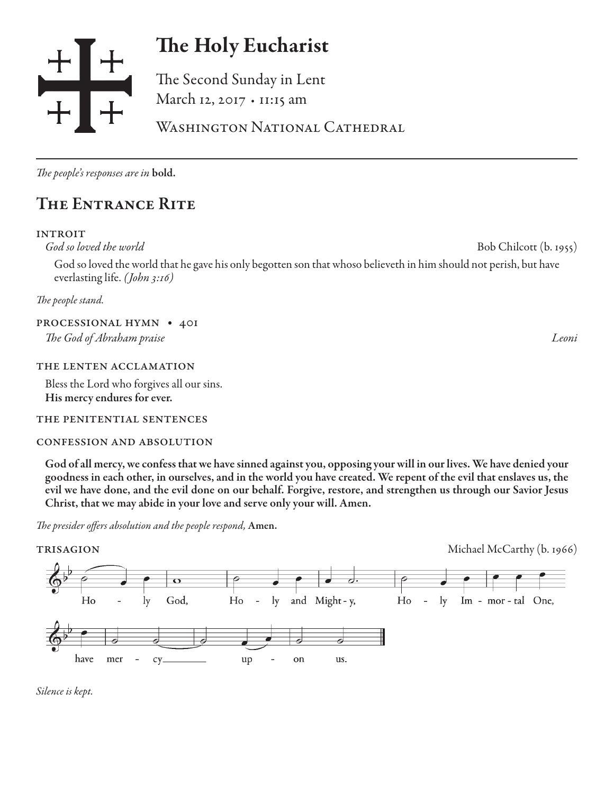

# The Holy Eucharist

The Second Sunday in Lent March 12, 2017 • 11:15 am

Washington National Cathedral

*The people's responses are in* bold.

## The Entrance Rite

**INTROIT**<br>God so loved the world

God so loved the world that he gave his only begotten son that whoso believeth in him should not perish, but have everlasting life. *(John 3:16)*

*The people stand.* 

processional hymn • 401 *The God of Abraham praise Leoni*

#### the lenten acclamation

Bless the Lord who forgives all our sins. His mercy endures for ever.

the penitential sentences

### confession and absolution

God of all mercy, we confess that we have sinned against you, opposing your will in our lives. We have denied your goodness in each other, in ourselves, and in the world you have created. We repent of the evil that enslaves us, the evil we have done, and the evil done on our behalf. Forgive, restore, and strengthen us through our Savior Jesus Christ, that we may abide in your love and serve only your will. Amen.

*The presider offers absolution and the people respond,* Amen.



*Silence is kept.*

*God so loved the world* Bob Chilcott (b. 1955)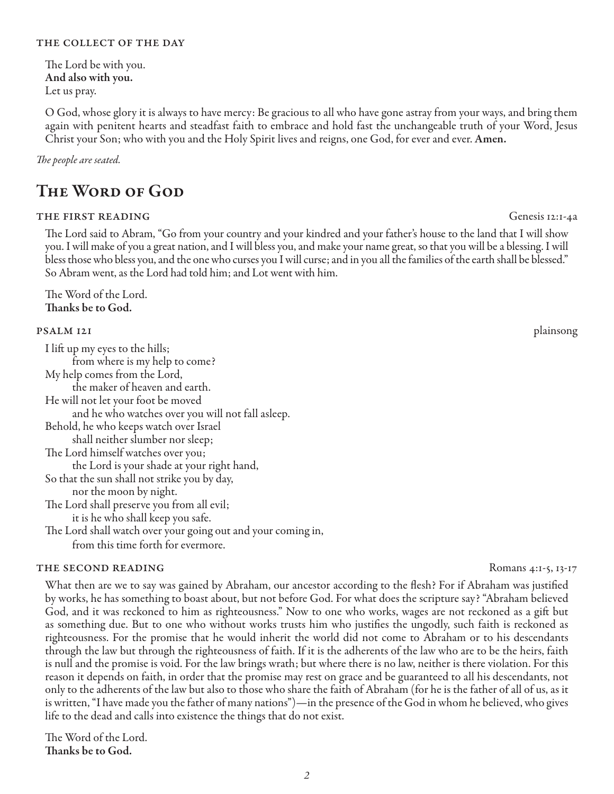#### the collect of the day

The Lord be with you. And also with you. Let us pray.

O God, whose glory it is always to have mercy: Be gracious to all who have gone astray from your ways, and bring them again with penitent hearts and steadfast faith to embrace and hold fast the unchangeable truth of your Word, Jesus Christ your Son; who with you and the Holy Spirit lives and reigns, one God, for ever and ever. Amen.

*The people are seated.*

## The Word of God

#### THE FIRST READING GENERAL STATES CONSTRUCTED AND RELATED STATES OF GENERAL STATES OF GENERAL STATES OF GENERAL STATES OF GENERAL STATES OF GENERAL STATES OF GENERAL STATES OF GENERAL STATES OF GENERAL STATES OF GENERAL STA

The Lord said to Abram, "Go from your country and your kindred and your father's house to the land that I will show you. I will make of you a great nation, and I will bless you, and make your name great, so that you will be a blessing. I will bless those who bless you, and the one who curses you I will curse; and in you all the families of the earth shall be blessed." So Abram went, as the Lord had told him; and Lot went with him.

The Word of the Lord. Thanks be to God.

### psalm 121 plainsong

I lift up my eyes to the hills; from where is my help to come? My help comes from the Lord, the maker of heaven and earth. He will not let your foot be moved and he who watches over you will not fall asleep. Behold, he who keeps watch over Israel shall neither slumber nor sleep; The Lord himself watches over you; the Lord is your shade at your right hand, So that the sun shall not strike you by day, nor the moon by night. The Lord shall preserve you from all evil; it is he who shall keep you safe. The Lord shall watch over your going out and your coming in, from this time forth for evermore.

#### THE SECOND READING Romans 4:1-5, 13-17

What then are we to say was gained by Abraham, our ancestor according to the flesh? For if Abraham was justified by works, he has something to boast about, but not before God. For what does the scripture say? "Abraham believed God, and it was reckoned to him as righteousness." Now to one who works, wages are not reckoned as a gift but as something due. But to one who without works trusts him who justifies the ungodly, such faith is reckoned as righteousness. For the promise that he would inherit the world did not come to Abraham or to his descendants through the law but through the righteousness of faith. If it is the adherents of the law who are to be the heirs, faith is null and the promise is void. For the law brings wrath; but where there is no law, neither is there violation. For this reason it depends on faith, in order that the promise may rest on grace and be guaranteed to all his descendants, not only to the adherents of the law but also to those who share the faith of Abraham (for he is the father of all of us, as it is written, "I have made you the father of many nations")—in the presence of the God in whom he believed, who gives life to the dead and calls into existence the things that do not exist.

The Word of the Lord. Thanks be to God.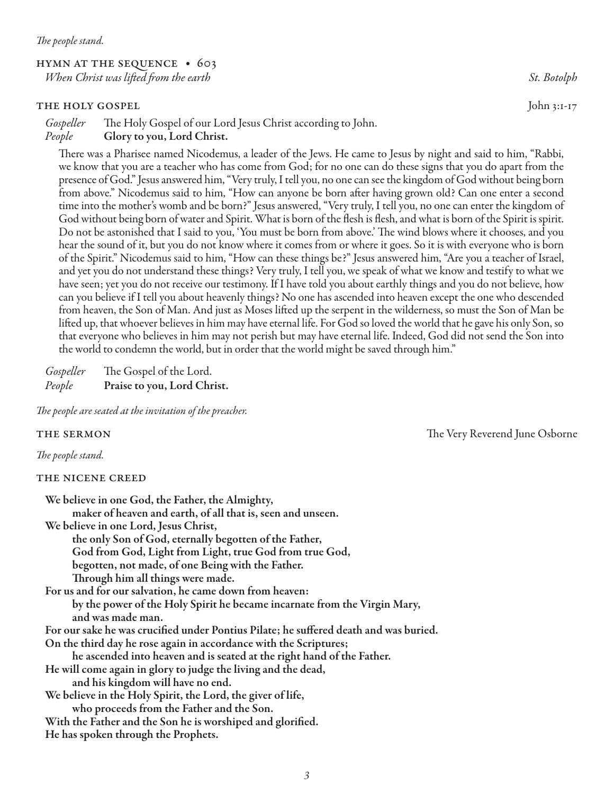#### hymn at the sequence • 603

*When Christ was lifted from the earth*  $St.$  *Botolph* 

#### THE HOLY GOSPEL John 3:1-17

*Gospeller* The Holy Gospel of our Lord Jesus Christ according to John. *People* Glory to you, Lord Christ.

There was a Pharisee named Nicodemus, a leader of the Jews. He came to Jesus by night and said to him, "Rabbi, we know that you are a teacher who has come from God; for no one can do these signs that you do apart from the presence of God." Jesus answered him, "Very truly, I tell you, no one can see the kingdom of God without being born from above." Nicodemus said to him, "How can anyone be born after having grown old? Can one enter a second time into the mother's womb and be born?" Jesus answered, "Very truly, I tell you, no one can enter the kingdom of God without being born of water and Spirit. What is born of the flesh is flesh, and what is born of the Spirit is spirit. Do not be astonished that I said to you, 'You must be born from above.' The wind blows where it chooses, and you hear the sound of it, but you do not know where it comes from or where it goes. So it is with everyone who is born of the Spirit." Nicodemus said to him, "How can these things be?" Jesus answered him, "Are you a teacher of Israel, and yet you do not understand these things? Very truly, I tell you, we speak of what we know and testify to what we have seen; yet you do not receive our testimony. If I have told you about earthly things and you do not believe, how can you believe if I tell you about heavenly things? No one has ascended into heaven except the one who descended from heaven, the Son of Man. And just as Moses lifted up the serpent in the wilderness, so must the Son of Man be lifted up, that whoever believes in him may have eternal life. For God so loved the world that he gave his only Son, so that everyone who believes in him may not perish but may have eternal life. Indeed, God did not send the Son into the world to condemn the world, but in order that the world might be saved through him."

*Gospeller* The Gospel of the Lord. *People* Praise to you, Lord Christ.

*The people are seated at the invitation of the preacher.*

*The people stand.*

#### the nicene creed

| We believe in one God, the Father, the Almighty,                                      |
|---------------------------------------------------------------------------------------|
| maker of heaven and earth, of all that is, seen and unseen.                           |
| We believe in one Lord, Jesus Christ,                                                 |
| the only Son of God, eternally begotten of the Father,                                |
| God from God, Light from Light, true God from true God,                               |
| begotten, not made, of one Being with the Father.                                     |
| Through him all things were made.                                                     |
| For us and for our salvation, he came down from heaven:                               |
| by the power of the Holy Spirit he became incarnate from the Virgin Mary,             |
| and was made man.                                                                     |
| For our sake he was crucified under Pontius Pilate; he suffered death and was buried. |
| On the third day he rose again in accordance with the Scriptures;                     |
| he ascended into heaven and is seated at the right hand of the Father.                |
| He will come again in glory to judge the living and the dead,                         |
| and his kingdom will have no end.                                                     |
| We believe in the Holy Spirit, the Lord, the giver of life,                           |
| who proceeds from the Father and the Son.                                             |
| With the Father and the Son he is worshiped and glorified.                            |
| He has spoken through the Prophets.                                                   |
|                                                                                       |

the sermon The Very Reverend June Osborne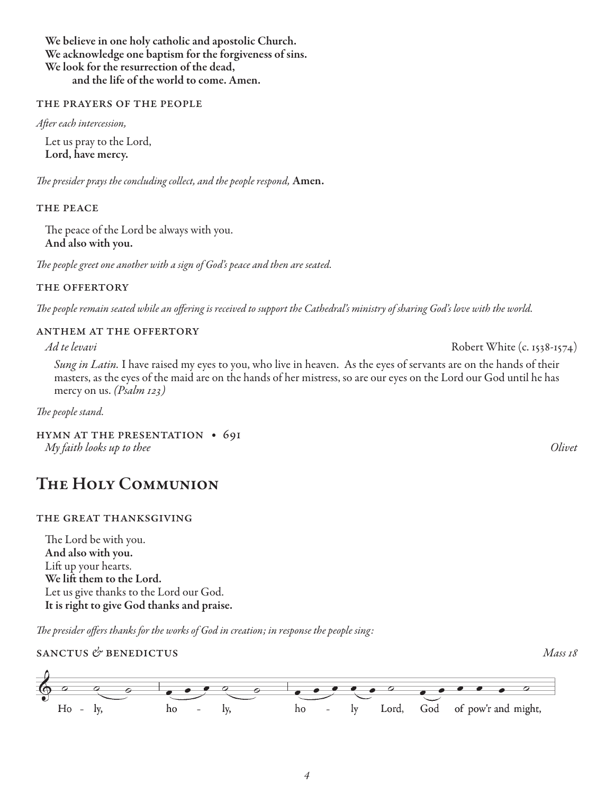We believe in one holy catholic and apostolic Church. We acknowledge one baptism for the forgiveness of sins. We look for the resurrection of the dead, and the life of the world to come. Amen.

#### the prayers of the people

*After each intercession,*

Let us pray to the Lord, Lord, have mercy.

*The presider prays the concluding collect, and the people respond,* Amen.

THE PEACE

The peace of the Lord be always with you. And also with you.

*The people greet one another with a sign of God's peace and then are seated.*

#### the offertory

*The people remain seated while an offering is received to support the Cathedral's ministry of sharing God's love with the world.*

#### anthem at the offertory

*Sung in Latin.* I have raised my eyes to you, who live in heaven. As the eyes of servants are on the hands of their masters, as the eyes of the maid are on the hands of her mistress, so are our eyes on the Lord our God until he has mercy on us. *(Psalm 123)*

*The people stand.*

hymn at the presentation • 691 *My faith looks up to thee Olivet* 

## The Holy Communion

#### the great thanksgiving

The Lord be with you. And also with you. Lift up your hearts. We lift them to the Lord. Let us give thanks to the Lord our God. It is right to give God thanks and praise.

*The presider offers thanks for the works of God in creation; in response the people sing:*

#### sanctus *&* benedictus *Mass 18*



*Ad te levavi* Robert White (c. 1538-1574)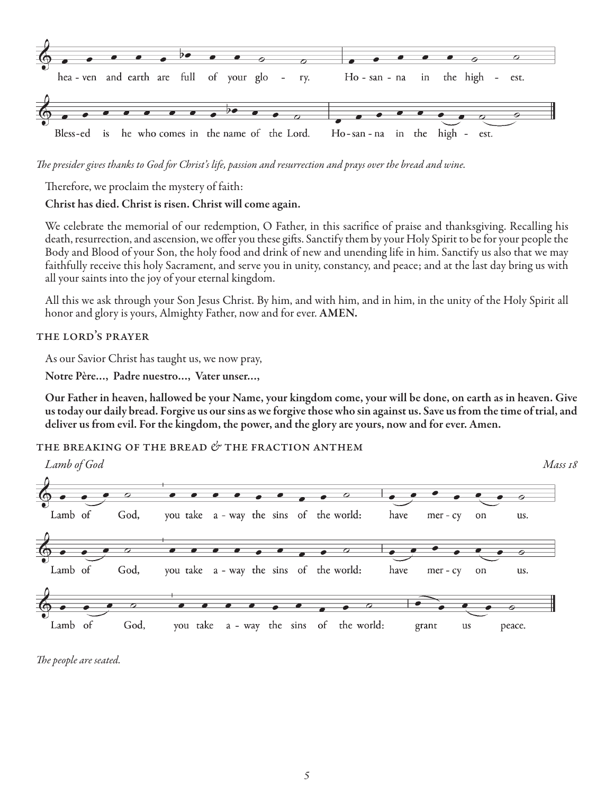

*The presider gives thanks to God for Christ's life, passion and resurrection and prays over the bread and wine.*

Therefore, we proclaim the mystery of faith:

Christ has died. Christ is risen. Christ will come again.

We celebrate the memorial of our redemption, O Father, in this sacrifice of praise and thanksgiving. Recalling his death, resurrection, and ascension, we offer you these gifts. Sanctify them by your Holy Spirit to be for your people the Body and Blood of your Son, the holy food and drink of new and unending life in him. Sanctify us also that we may faithfully receive this holy Sacrament, and serve you in unity, constancy, and peace; and at the last day bring us with all your saints into the joy of your eternal kingdom.

All this we ask through your Son Jesus Christ. By him, and with him, and in him, in the unity of the Holy Spirit all honor and glory is yours, Almighty Father, now and for ever. AMEN.

#### the lord's prayer

As our Savior Christ has taught us, we now pray,

Notre Père…, Padre nuestro…, Vater unser…,

Our Father in heaven, hallowed be your Name, your kingdom come, your will be done, on earth as in heaven. Give us today our daily bread. Forgive us our sins as we forgive those who sin against us. Save us from the time of trial, and deliver us from evil. For the kingdom, the power, and the glory are yours, now and for ever. Amen.

#### the breaking of the bread *&* the fraction anthem



*The people are seated.*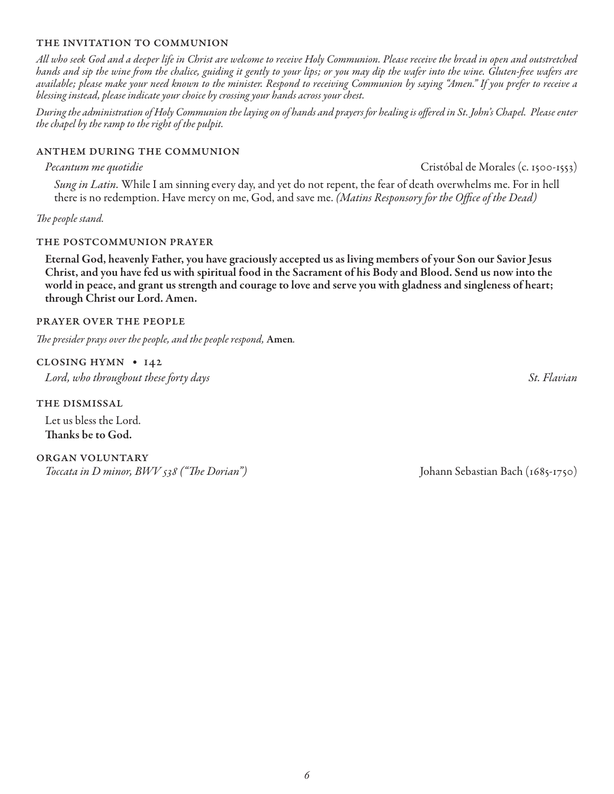#### the invitation to communion

*All who seek God and a deeper life in Christ are welcome to receive Holy Communion. Please receive the bread in open and outstretched hands and sip the wine from the chalice, guiding it gently to your lips; or you may dip the wafer into the wine. Gluten-free wafers are available; please make your need known to the minister. Respond to receiving Communion by saying "Amen." If you prefer to receive a blessing instead, please indicate your choice by crossing your hands across your chest.* 

*During the administration of Holy Communion the laying on of hands and prayers for healing is offered in St. John's Chapel. Please enter the chapel by the ramp to the right of the pulpit.*

#### anthem during the communion

*Sung in Latin.* While I am sinning every day, and yet do not repent, the fear of death overwhelms me. For in hell there is no redemption. Have mercy on me, God, and save me. *(Matins Responsory for the Office of the Dead)*

*The people stand.*

#### the postcommunion prayer

Eternal God, heavenly Father, you have graciously accepted us as living members of your Son our Savior Jesus Christ, and you have fed us with spiritual food in the Sacrament of his Body and Blood. Send us now into the world in peace, and grant us strength and courage to love and serve you with gladness and singleness of heart; through Christ our Lord. Amen.

#### prayer over the people

*The presider prays over the people, and the people respond,* Amen*.*

closing hymn • 142 *Lord, who throughout these forty days* St. Flavian

the dismissal Let us bless the Lord.

Thanks be to God.

organ voluntary *Toccata in D minor, BWV 538 ("The Dorian")* Johann Sebastian Bach (1685-1750)

*Pecantum me quotidie* Cristóbal de Morales (c. 1500-1553)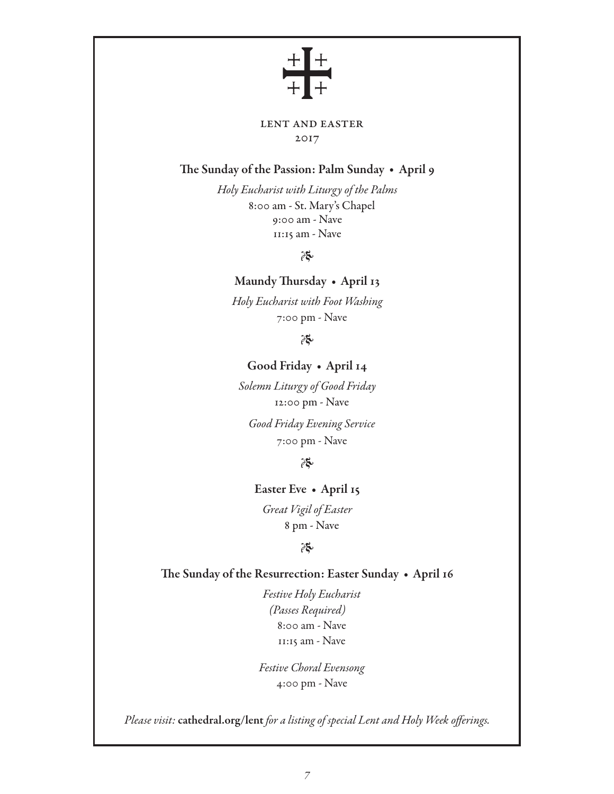#### lent and easter 2017

### The Sunday of the Passion: Palm Sunday • April 9

*Holy Eucharist with Liturgy of the Palms* 8:00 am - St. Mary's Chapel 9:00 am - Nave 11:15 am - Nave

 $\partial \xi$ 

### Maundy Thursday • April 13

*Holy Eucharist with Foot Washing* 7:00 pm - Nave

 $\partial \xi$ 

### Good Friday • April 14

*Solemn Liturgy of Good Friday* 12:00 pm - Nave

*Good Friday Evening Service* 7:00 pm - Nave

### $\partial \xi$

#### Easter Eve • April 15

*Great Vigil of Easter* 8 pm - Nave

### $\partial \xi$

#### The Sunday of the Resurrection: Easter Sunday • April 16

*Festive Holy Eucharist (Passes Required)* 8:00 am - Nave 11:15 am - Nave

*Festive Choral Evensong*  4:00 pm - Nave

*Please visit:* cathedral.org/lent *for a listing of special Lent and Holy Week offerings.*